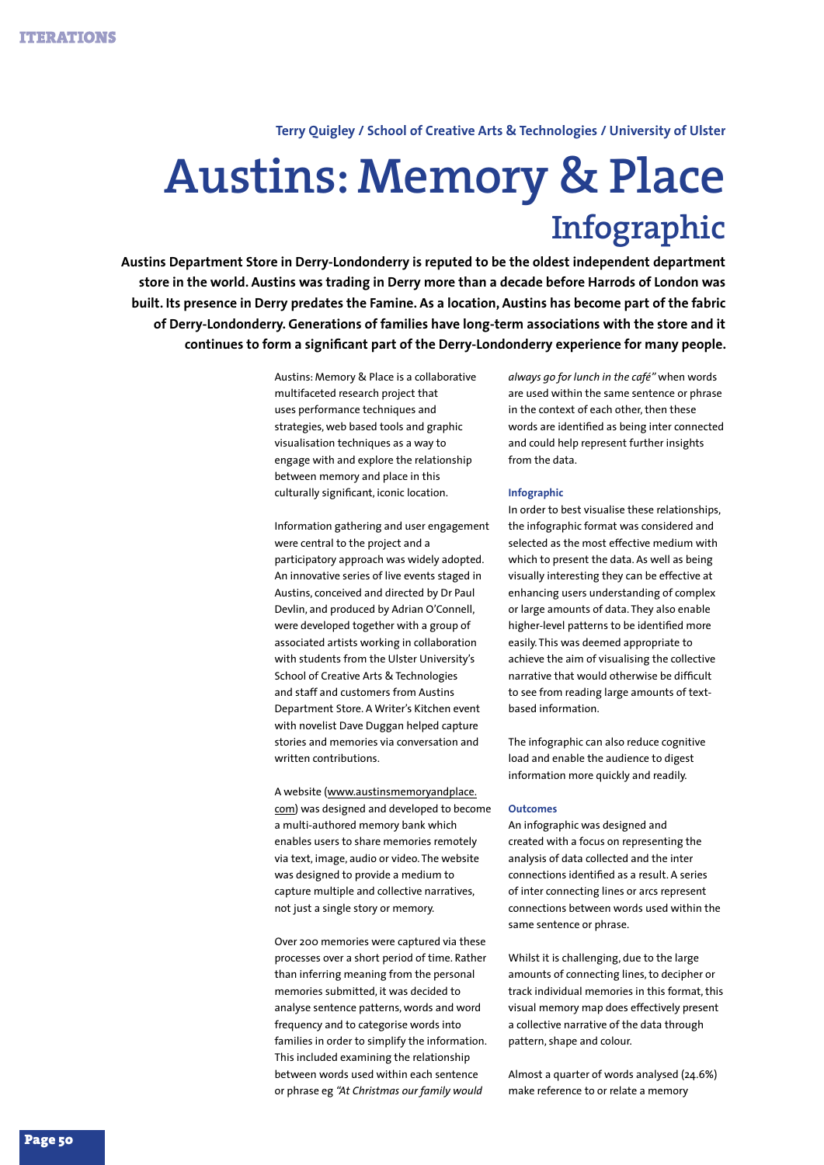**Terry Quigley / School of Creative Arts & Technologies / University of Ulster**

## **Austins: Memory & Place Infographic**

**Austins Department Store in Derry-Londonderry is reputed to be the oldest independent department store in the world. Austins was trading in Derry more than a decade before Harrods of London was built. Its presence in Derry predates the Famine. As a location, Austins has become part of the fabric of Derry-Londonderry. Generations of families have long-term associations with the store and it continues to form a significant part of the Derry-Londonderry experience for many people.**

> Austins: Memory & Place is a collaborative multifaceted research project that uses performance techniques and strategies, web based tools and graphic visualisation techniques as a way to engage with and explore the relationship between memory and place in this culturally significant, iconic location.

Information gathering and user engagement were central to the project and a participatory approach was widely adopted. An innovative series of live events staged in Austins, conceived and directed by Dr Paul Devlin, and produced by Adrian O'Connell, were developed together with a group of associated artists working in collaboration with students from the Ulster University's School of Creative Arts & Technologies and staff and customers from Austins Department Store. A Writer's Kitchen event with novelist Dave Duggan helped capture stories and memories via conversation and written contributions.

A website (www.austinsmemoryandplace. com) was designed and developed to become a multi-authored memory bank which enables users to share memories remotely via text, image, audio or video. The website was designed to provide a medium to capture multiple and collective narratives, not just a single story or memory.

Over 200 memories were captured via these processes over a short period of time. Rather than inferring meaning from the personal memories submitted, it was decided to analyse sentence patterns, words and word frequency and to categorise words into families in order to simplify the information. This included examining the relationship between words used within each sentence or phrase eg *"At Christmas our family would* 

*always go for lunch in the café"* when words are used within the same sentence or phrase in the context of each other, then these words are identified as being inter connected and could help represent further insights from the data.

## **Infographic**

In order to best visualise these relationships, the infographic format was considered and selected as the most effective medium with which to present the data. As well as being visually interesting they can be effective at enhancing users understanding of complex or large amounts of data. They also enable higher-level patterns to be identified more easily. This was deemed appropriate to achieve the aim of visualising the collective narrative that would otherwise be difficult to see from reading large amounts of textbased information.

The infographic can also reduce cognitive load and enable the audience to digest information more quickly and readily.

## **Outcomes**

An infographic was designed and created with a focus on representing the analysis of data collected and the inter connections identified as a result. A series of inter connecting lines or arcs represent connections between words used within the same sentence or phrase.

Whilst it is challenging, due to the large amounts of connecting lines, to decipher or track individual memories in this format, this visual memory map does effectively present a collective narrative of the data through pattern, shape and colour.

Almost a quarter of words analysed (24.6%) make reference to or relate a memory